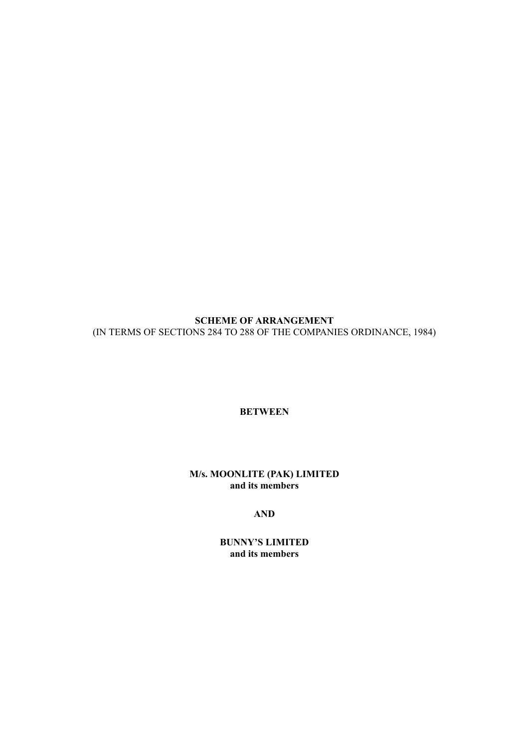**SCHEME OF ARRANGEMENT** (IN TERMS OF SECTIONS 284 TO 288 OF THE COMPANIES ORDINANCE, 1984)

**BETWEEN**

# **M/s. MOONLITE (PAK) LIMITED and its members**

# **AND**

**BUNNY'S LIMITED and its members**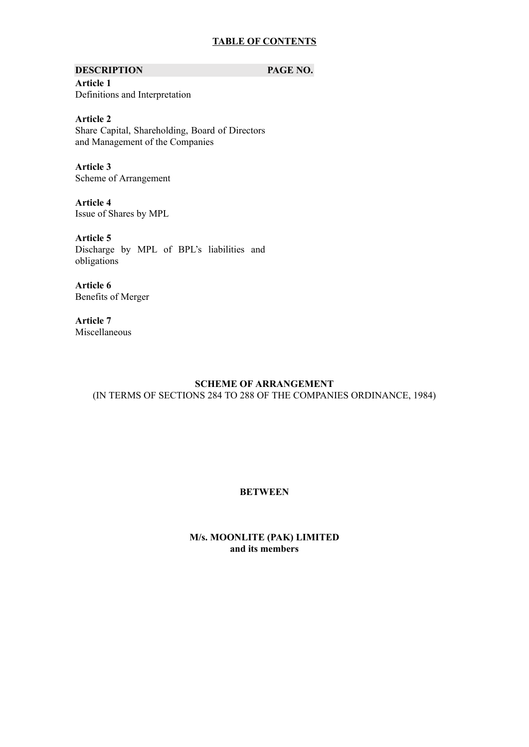# **TABLE OF CONTENTS**

### **DESCRIPTION PAGE NO.**

**Article 1** Definitions and Interpretation

**Article 2** Share Capital, Shareholding, Board of Directors and Management of the Companies

**Article 3** Scheme of Arrangement

**Article 4** Issue of Shares by MPL

**Article 5** Discharge by MPL of BPL's liabilities and obligations

**Article 6** Benefits of Merger

**Article 7** Miscellaneous

# **SCHEME OF ARRANGEMENT**

(IN TERMS OF SECTIONS 284 TO 288 OF THE COMPANIES ORDINANCE, 1984)

# **BETWEEN**

# **M/s. MOONLITE (PAK) LIMITED and its members**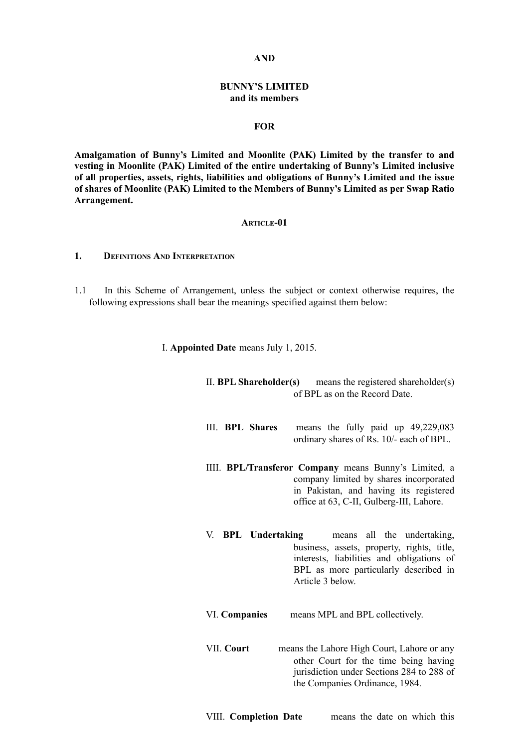### **AND**

## **BUNNY'S LIMITED and its members**

### **FOR**

**Amalgamation of Bunny's Limited and Moonlite (PAK) Limited by the transfer to and vesting in Moonlite (PAK) Limited of the entire undertaking of Bunny's Limited inclusive of all properties, assets, rights, liabilities and obligations of Bunny's Limited and the issue of shares of Moonlite (PAK) Limited to the Members of Bunny's Limited as per Swap Ratio Arrangement.**

### **ARTICLE-01**

### **1. DEFINITIONS AND INTERPRETATION**

- 1.1 In this Scheme of Arrangement, unless the subject or context otherwise requires, the following expressions shall bear the meanings specified against them below:
	- I. **Appointed Date** means July 1, 2015.
		- II. **BPL Shareholder(s)** means the registered shareholder(s) of BPL as on the Record Date.
		- III. **BPL Shares** means the fully paid up 49,229,083 ordinary shares of Rs. 10/- each of BPL.
		- IIII. **BPL/Transferor Company** means Bunny's Limited, a company limited by shares incorporated in Pakistan, and having its registered office at 63, C-II, Gulberg-III, Lahore.
		- V. **BPL Undertaking** means all the undertaking, business, assets, property, rights, title, interests, liabilities and obligations of BPL as more particularly described in Article 3 below.
		- VI. **Companies** means MPL and BPL collectively.
		- VII. **Court** means the Lahore High Court, Lahore or any other Court for the time being having jurisdiction under Sections 284 to 288 of the Companies Ordinance, 1984.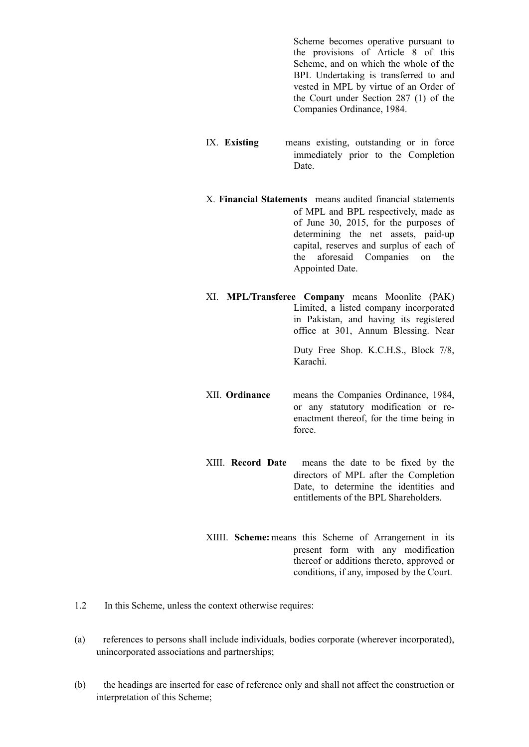Scheme becomes operative pursuant to the provisions of Article 8 of this Scheme, and on which the whole of the BPL Undertaking is transferred to and vested in MPL by virtue of an Order of the Court under Section 287 (1) of the Companies Ordinance, 1984.

- IX. **Existing** means existing, outstanding or in force immediately prior to the Completion **Date**
- X. **Financial Statements** means audited financial statements of MPL and BPL respectively, made as of June 30, 2015, for the purposes of determining the net assets, paid-up capital, reserves and surplus of each of the aforesaid Companies on the Appointed Date.
- XI. **MPL/Transferee Company** means Moonlite (PAK) Limited, a listed company incorporated in Pakistan, and having its registered office at 301, Annum Blessing. Near Duty Free Shop. K.C.H.S., Block 7/8, Karachi.
- XII. **Ordinance** means the Companies Ordinance, 1984, or any statutory modification or reenactment thereof, for the time being in force.
- XIII. **Record Date** means the date to be fixed by the directors of MPL after the Completion Date, to determine the identities and entitlements of the BPL Shareholders.
- XIIII. **Scheme:** means this Scheme of Arrangement in its present form with any modification thereof or additions thereto, approved or conditions, if any, imposed by the Court.
- 1.2 In this Scheme, unless the context otherwise requires:
- (a) references to persons shall include individuals, bodies corporate (wherever incorporated), unincorporated associations and partnerships;
- (b) the headings are inserted for ease of reference only and shall not affect the construction or interpretation of this Scheme;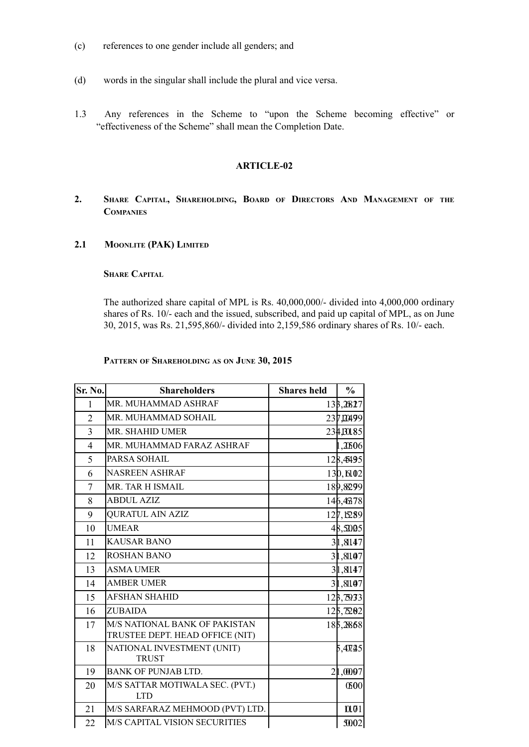- (c) references to one gender include all genders; and
- (d) words in the singular shall include the plural and vice versa.
- 1.3 Any references in the Scheme to "upon the Scheme becoming effective" or "effectiveness of the Scheme" shall mean the Completion Date.

# **ARTICLE-02**

- **2. SHARE CAPITAL, SHAREHOLDING, BOARD OF DIRECTORS AND MANAGEMENT OF THE COMPANIES**
- **2.1 MOONLITE (PAK) LIMITED**

# **SHARE CAPITAL**

The authorized share capital of MPL is Rs. 40,000,000/- divided into 4,000,000 ordinary shares of Rs. 10/- each and the issued, subscribed, and paid up capital of MPL, as on June 30, 2015, was Rs. 21,595,860/- divided into 2,159,586 ordinary shares of Rs. 10/- each.

# **PATTERN OF SHAREHOLDING AS ON JUNE 30, 2015**

| Sr. No.        | <b>Shareholders</b>                                              | <b>Shares</b> held | $\frac{0}{0}$ |
|----------------|------------------------------------------------------------------|--------------------|---------------|
| 1              | MR. MUHAMMAD ASHRAF                                              |                    | 133,2827      |
| $\overline{2}$ | MR. MUHAMMAD SOHAIL                                              |                    | 237,00499     |
| $\overline{3}$ | MR. SHAHID UMER                                                  |                    | 234,301.85    |
| 4              | MR. MUHAMMAD FARAZ ASHRAF                                        |                    | 1,206         |
| 5              | PARSA SOHAIL                                                     |                    | 128,4495      |
| 6              | <b>NASREEN ASHRAF</b>                                            |                    | 130, 6102     |
| $\tau$         | MR. TAR H ISMAIL                                                 |                    | 189,8299      |
| 8              | <b>ABDUL AZIZ</b>                                                |                    | 146,46378     |
| 9              | <b>QURATUL AIN AZIZ</b>                                          |                    | 127,15289     |
| 10             | <b>UMEAR</b>                                                     |                    | 48,5005       |
| 11             | <b>KAUSAR BANO</b>                                               |                    | 31,8147       |
| 12             | <b>ROSHAN BANO</b>                                               |                    | 31,8107       |
| 13             | <b>ASMA UMER</b>                                                 |                    | 31,8147       |
| 14             | <b>AMBER UMER</b>                                                |                    | 31,8107       |
| 15             | <b>AFSHAN SHAHID</b>                                             |                    | 123,7933      |
| 16             | <b>ZUBAIDA</b>                                                   |                    | 125,7202      |
| 17             | M/S NATIONAL BANK OF PAKISTAN<br>TRUSTEE DEPT. HEAD OFFICE (NIT) |                    | 185,2868      |
| 18             | NATIONAL INVESTMENT (UNIT)<br><b>TRUST</b>                       |                    | 5,407.215     |
| 19             | <b>BANK OF PUNJAB LTD.</b>                                       |                    | 21,0007       |
| 20             | M/S SATTAR MOTIWALA SEC. (PVT.)<br><b>LTD</b>                    |                    | 0500          |
| 21             | M/S SARFARAZ MEHMOOD (PVT) LTD.                                  |                    | 0.01          |
| 22             | M/S CAPITAL VISION SECURITIES                                    |                    | <b>3002</b>   |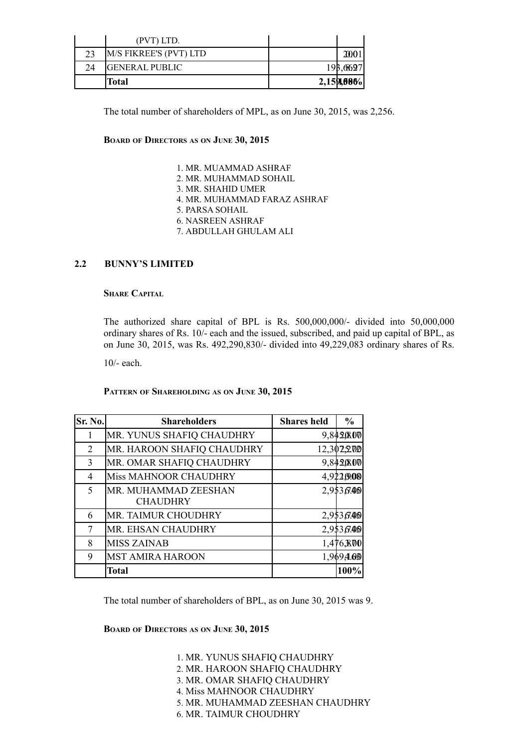|    | (PVT) LTD.             |            |          |
|----|------------------------|------------|----------|
| 23 | M/S FIKREE'S (PVT) LTD |            |          |
| 24 | <b>GENERAL PUBLIC</b>  |            | 193,6697 |
|    | Total                  | 2,159,606% |          |

The total number of shareholders of MPL, as on June 30, 2015, was 2,256.

# **BOARD OF DIRECTORS AS ON JUNE 30, 2015**

1. MR. MUAMMAD ASHRAF 2. MR. MUHAMMAD SOHAIL 3. MR. SHAHID UMER 4. MR. MUHAMMAD FARAZ ASHRAF 5. PARSA SOHAIL 6. NASREEN ASHRAF 7. ABDULLAH GHULAM ALI

# **2.2 BUNNY'S LIMITED**

# **SHARE CAPITAL**

The authorized share capital of BPL is Rs. 500,000,000/- divided into 50,000,000 ordinary shares of Rs. 10/- each and the issued, subscribed, and paid up capital of BPL, as on June 30, 2015, was Rs. 492,290,830/- divided into 49,229,083 ordinary shares of Rs.

10/- each.

**PATTERN OF SHAREHOLDING AS ON JUNE 30, 2015**

| Sr. No. | <b>Shareholders</b>        | <b>Shares</b> held | $\frac{0}{0}$ |
|---------|----------------------------|--------------------|---------------|
| 1       | MR. YUNUS SHAFIQ CHAUDHRY  |                    | 9,842,000     |
| 2       | MR. HAROON SHAFIQ CHAUDHRY |                    | 12,302,200    |
| 3       | MR. OMAR SHAFIQ CHAUDHRY   |                    | 9,842,000     |
| 4       | Miss MAHNOOR CHAUDHRY      |                    | 4,922,9.08    |
| 5       | MR. MUHAMMAD ZEESHAN       |                    | 2,953,600     |
|         | <b>CHAUDHRY</b>            |                    |               |
| 6       | MR. TAIMUR CHOUDHRY        |                    | 2,953,600     |
| 7       | MR. EHSAN CHAUDHRY         |                    | 2,953,600     |
| 8       | <b>MISS ZAINAB</b>         |                    | 1,476,800     |
| 9       | <b>MST AMIRA HAROON</b>    |                    | 1,9694.66     |
|         | <b>Total</b>               |                    | 100%          |

The total number of shareholders of BPL, as on June 30, 2015 was 9.

**BOARD OF DIRECTORS AS ON JUNE 30, 2015**

1. MR. YUNUS SHAFIQ CHAUDHRY 2. MR. HAROON SHAFIQ CHAUDHRY 3. MR. OMAR SHAFIQ CHAUDHRY 4. Miss MAHNOOR CHAUDHRY 5. MR. MUHAMMAD ZEESHAN CHAUDHRY 6. MR. TAIMUR CHOUDHRY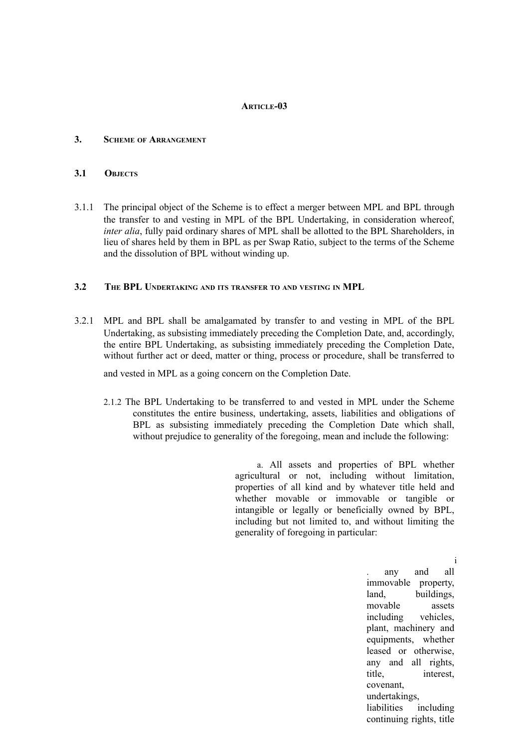### **ARTICLE-03**

### **3. SCHEME OF ARRANGEMENT**

### **3.1 OBJECTS**

3.1.1 The principal object of the Scheme is to effect a merger between MPL and BPL through the transfer to and vesting in MPL of the BPL Undertaking, in consideration whereof, *inter alia*, fully paid ordinary shares of MPL shall be allotted to the BPL Shareholders, in lieu of shares held by them in BPL as per Swap Ratio, subject to the terms of the Scheme and the dissolution of BPL without winding up.

### **3.2 THE BPL UNDERTAKING AND ITS TRANSFER TO AND VESTING IN MPL**

3.2.1 MPL and BPL shall be amalgamated by transfer to and vesting in MPL of the BPL Undertaking, as subsisting immediately preceding the Completion Date, and, accordingly, the entire BPL Undertaking, as subsisting immediately preceding the Completion Date, without further act or deed, matter or thing, process or procedure, shall be transferred to

and vested in MPL as a going concern on the Completion Date.

2.1.2 The BPL Undertaking to be transferred to and vested in MPL under the Scheme constitutes the entire business, undertaking, assets, liabilities and obligations of BPL as subsisting immediately preceding the Completion Date which shall, without prejudice to generality of the foregoing, mean and include the following:

> a. All assets and properties of BPL whether agricultural or not, including without limitation, properties of all kind and by whatever title held and whether movable or immovable or tangible or intangible or legally or beneficially owned by BPL, including but not limited to, and without limiting the generality of foregoing in particular:

> > . any and all immovable property, land, buildings, movable assets including vehicles, plant, machinery and equipments, whether leased or otherwise, any and all rights, title, interest, covenant, undertakings, liabilities including continuing rights, title

i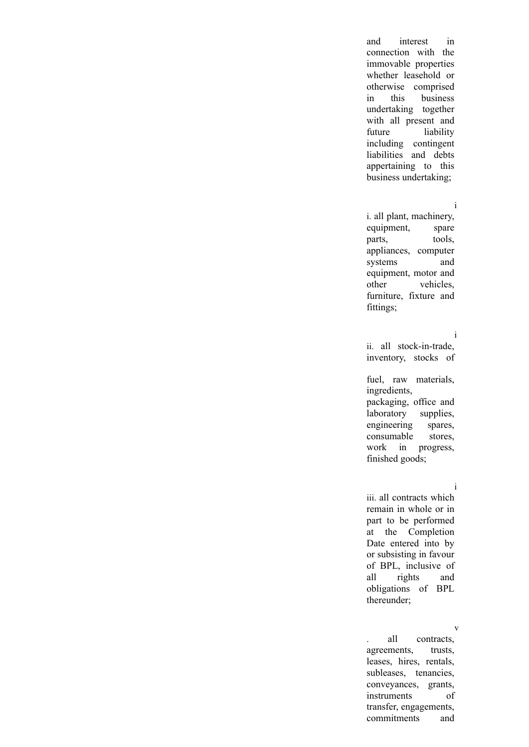and interest in connection with the immovable properties whether leasehold or otherwise comprised in this business undertaking together with all present and future liability including contingent liabilities and debts appertaining to this business undertaking;

#### i

i. all plant, machinery, equipment, spare parts, tools, appliances, computer systems and equipment, motor and other vehicles, furniture, fixture and fittings;

#### i

ii. all stock-in-trade, inventory, stocks of

fuel, raw materials, ingredients, packaging, office and laboratory supplies, engineering spares, consumable stores, work in progress, finished goods;

### i

iii. all contracts which remain in whole or in part to be performed at the Completion Date entered into by or subsisting in favour of BPL, inclusive of all rights and obligations of BPL thereunder;

#### v

. all contracts, agreements, trusts, leases, hires, rentals, subleases, tenancies, conveyances, grants, instruments of transfer, engagements, commitments and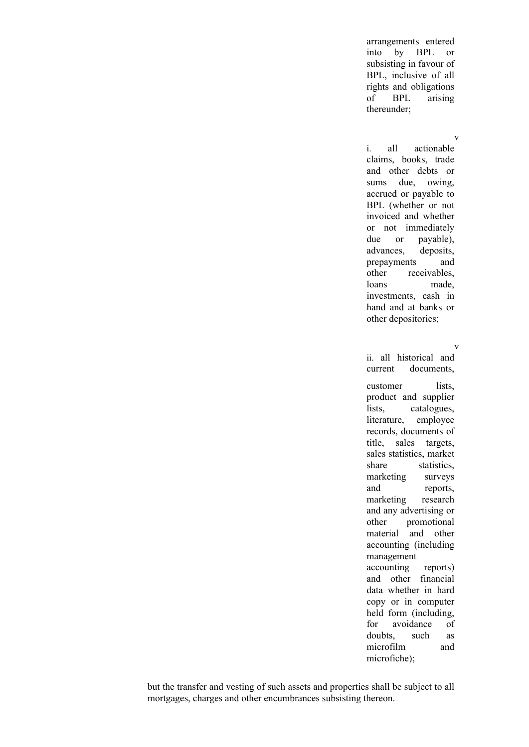arrangements entered into by BPL or subsisting in favour of BPL, inclusive of all rights and obligations of BPL arising thereunder;

# v

i. all actionable claims, books, trade and other debts or sums due, owing, accrued or payable to BPL (whether or not invoiced and whether or not immediately due or payable), advances, deposits, prepayments and other receivables, loans made, investments, cash in hand and at banks or other depositories;

### v

ii. all historical and current documents,

customer lists, product and supplier lists, catalogues, literature, employee records, documents of title, sales targets, sales statistics, market share statistics, marketing surveys and reports, marketing research and any advertising or other promotional material and other accounting (including management accounting reports) and other financial data whether in hard copy or in computer held form (including, for avoidance of doubts, such as microfilm and microfiche);

but the transfer and vesting of such assets and properties shall be subject to all mortgages, charges and other encumbrances subsisting thereon.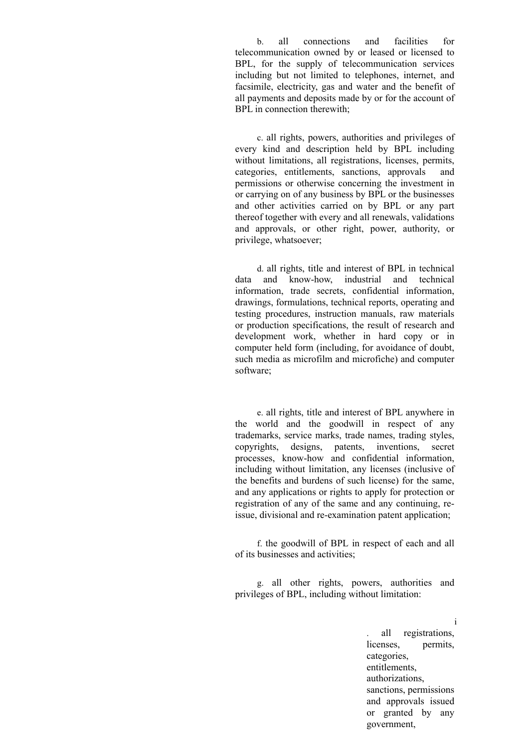b. all connections and facilities for telecommunication owned by or leased or licensed to BPL, for the supply of telecommunication services including but not limited to telephones, internet, and facsimile, electricity, gas and water and the benefit of all payments and deposits made by or for the account of BPL in connection therewith;

c. all rights, powers, authorities and privileges of every kind and description held by BPL including without limitations, all registrations, licenses, permits, categories, entitlements, sanctions, approvals and permissions or otherwise concerning the investment in or carrying on of any business by BPL or the businesses and other activities carried on by BPL or any part thereof together with every and all renewals, validations and approvals, or other right, power, authority, or privilege, whatsoever;

d. all rights, title and interest of BPL in technical data and know-how, industrial and technical information, trade secrets, confidential information, drawings, formulations, technical reports, operating and testing procedures, instruction manuals, raw materials or production specifications, the result of research and development work, whether in hard copy or in computer held form (including, for avoidance of doubt, such media as microfilm and microfiche) and computer software;

e. all rights, title and interest of BPL anywhere in the world and the goodwill in respect of any trademarks, service marks, trade names, trading styles, copyrights, designs, patents, inventions, secret processes, know-how and confidential information, including without limitation, any licenses (inclusive of the benefits and burdens of such license) for the same, and any applications or rights to apply for protection or registration of any of the same and any continuing, reissue, divisional and re-examination patent application;

f. the goodwill of BPL in respect of each and all of its businesses and activities;

g. all other rights, powers, authorities and privileges of BPL, including without limitation:

> i . all registrations, licenses, permits, categories, entitlements, authorizations, sanctions, permissions and approvals issued or granted by any government,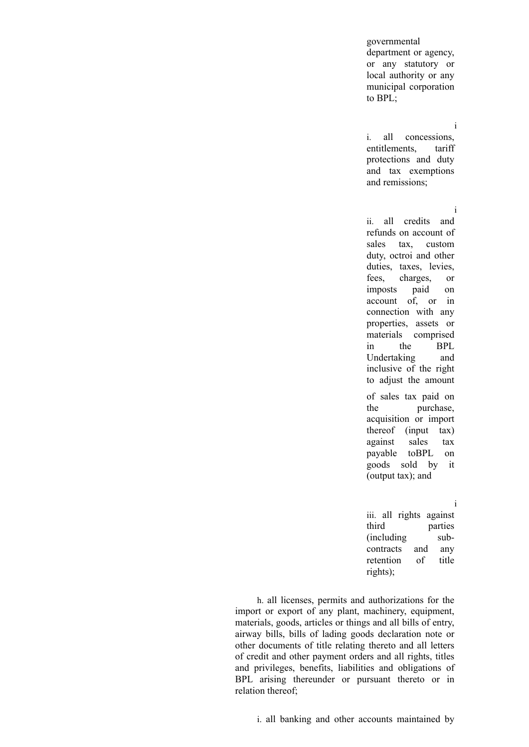governmental department or agency, or any statutory or local authority or any municipal corporation to BPL;

### i

i. all concessions, entitlements, tariff protections and duty and tax exemptions and remissions;

### i

ii. all credits and refunds on account of sales tax, custom duty, octroi and other duties, taxes, levies, fees, charges, or imposts paid on account of, or in connection with any properties, assets or materials comprised in the BPL Undertaking and inclusive of the right to adjust the amount of sales tax paid on

the purchase, acquisition or import thereof (input tax) against sales tax payable toBPL on goods sold by it (output tax); and

### i

iii. all rights against third parties (including subcontracts and any retention of title rights);

h. all licenses, permits and authorizations for the import or export of any plant, machinery, equipment, materials, goods, articles or things and all bills of entry, airway bills, bills of lading goods declaration note or other documents of title relating thereto and all letters of credit and other payment orders and all rights, titles and privileges, benefits, liabilities and obligations of BPL arising thereunder or pursuant thereto or in relation thereof;

i. all banking and other accounts maintained by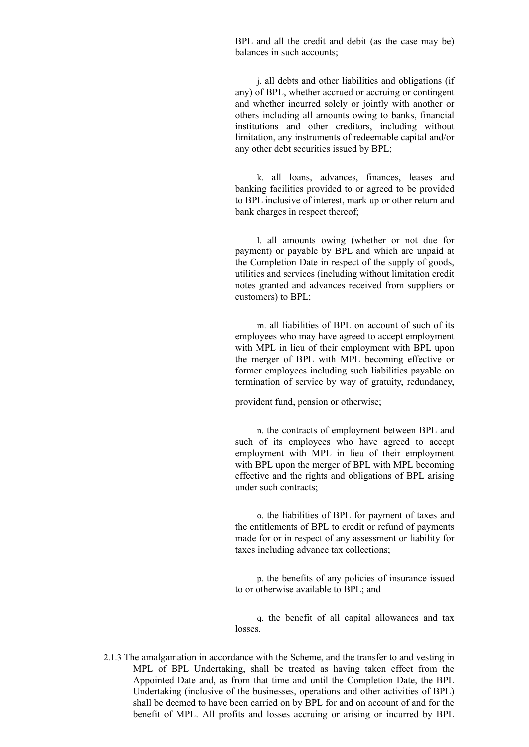BPL and all the credit and debit (as the case may be) balances in such accounts;

j. all debts and other liabilities and obligations (if any) of BPL, whether accrued or accruing or contingent and whether incurred solely or jointly with another or others including all amounts owing to banks, financial institutions and other creditors, including without limitation, any instruments of redeemable capital and/or any other debt securities issued by BPL;

k. all loans, advances, finances, leases and banking facilities provided to or agreed to be provided to BPL inclusive of interest, mark up or other return and bank charges in respect thereof;

l. all amounts owing (whether or not due for payment) or payable by BPL and which are unpaid at the Completion Date in respect of the supply of goods, utilities and services (including without limitation credit notes granted and advances received from suppliers or customers) to BPL;

m. all liabilities of BPL on account of such of its employees who may have agreed to accept employment with MPL in lieu of their employment with BPL upon the merger of BPL with MPL becoming effective or former employees including such liabilities payable on termination of service by way of gratuity, redundancy,

provident fund, pension or otherwise;

n. the contracts of employment between BPL and such of its employees who have agreed to accept employment with MPL in lieu of their employment with BPL upon the merger of BPL with MPL becoming effective and the rights and obligations of BPL arising under such contracts;

o. the liabilities of BPL for payment of taxes and the entitlements of BPL to credit or refund of payments made for or in respect of any assessment or liability for taxes including advance tax collections;

p. the benefits of any policies of insurance issued to or otherwise available to BPL; and

q. the benefit of all capital allowances and tax losses.

2.1.3 The amalgamation in accordance with the Scheme, and the transfer to and vesting in MPL of BPL Undertaking, shall be treated as having taken effect from the Appointed Date and, as from that time and until the Completion Date, the BPL Undertaking (inclusive of the businesses, operations and other activities of BPL) shall be deemed to have been carried on by BPL for and on account of and for the benefit of MPL. All profits and losses accruing or arising or incurred by BPL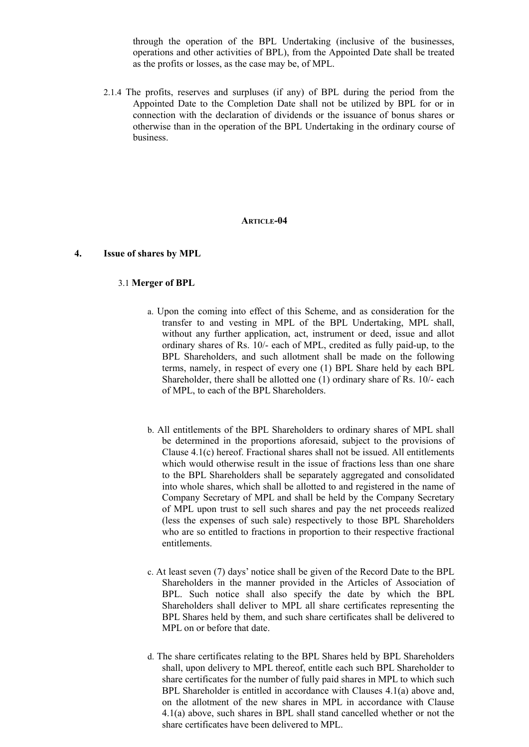through the operation of the BPL Undertaking (inclusive of the businesses, operations and other activities of BPL), from the Appointed Date shall be treated as the profits or losses, as the case may be, of MPL.

2.1.4 The profits, reserves and surpluses (if any) of BPL during the period from the Appointed Date to the Completion Date shall not be utilized by BPL for or in connection with the declaration of dividends or the issuance of bonus shares or otherwise than in the operation of the BPL Undertaking in the ordinary course of business.

### **ARTICLE-04**

### **4. Issue of shares by MPL**

### 3.1 **Merger of BPL**

- a. Upon the coming into effect of this Scheme, and as consideration for the transfer to and vesting in MPL of the BPL Undertaking, MPL shall, without any further application, act, instrument or deed, issue and allot ordinary shares of Rs. 10/- each of MPL, credited as fully paid-up, to the BPL Shareholders, and such allotment shall be made on the following terms, namely, in respect of every one (1) BPL Share held by each BPL Shareholder, there shall be allotted one (1) ordinary share of Rs. 10/- each of MPL, to each of the BPL Shareholders.
- b. All entitlements of the BPL Shareholders to ordinary shares of MPL shall be determined in the proportions aforesaid, subject to the provisions of Clause 4.1(c) hereof. Fractional shares shall not be issued. All entitlements which would otherwise result in the issue of fractions less than one share to the BPL Shareholders shall be separately aggregated and consolidated into whole shares, which shall be allotted to and registered in the name of Company Secretary of MPL and shall be held by the Company Secretary of MPL upon trust to sell such shares and pay the net proceeds realized (less the expenses of such sale) respectively to those BPL Shareholders who are so entitled to fractions in proportion to their respective fractional entitlements.
- c. At least seven (7) days' notice shall be given of the Record Date to the BPL Shareholders in the manner provided in the Articles of Association of BPL. Such notice shall also specify the date by which the BPL Shareholders shall deliver to MPL all share certificates representing the BPL Shares held by them, and such share certificates shall be delivered to MPL on or before that date.
- d. The share certificates relating to the BPL Shares held by BPL Shareholders shall, upon delivery to MPL thereof, entitle each such BPL Shareholder to share certificates for the number of fully paid shares in MPL to which such BPL Shareholder is entitled in accordance with Clauses 4.1(a) above and, on the allotment of the new shares in MPL in accordance with Clause 4.1(a) above, such shares in BPL shall stand cancelled whether or not the share certificates have been delivered to MPL.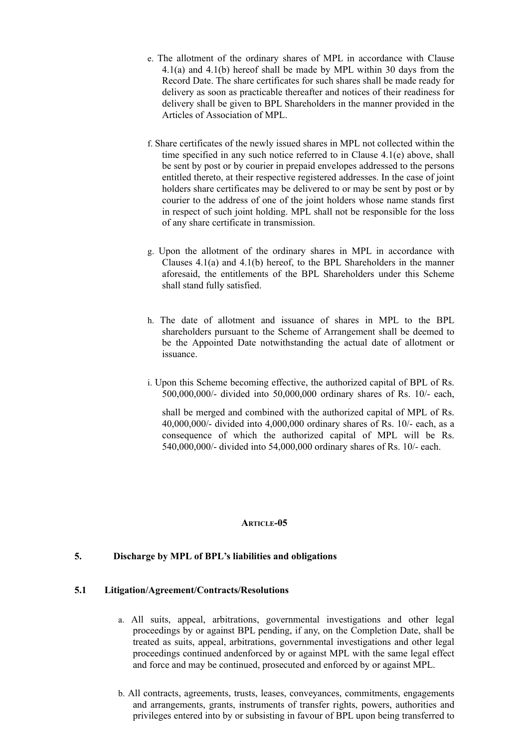- e. The allotment of the ordinary shares of MPL in accordance with Clause 4.1(a) and 4.1(b) hereof shall be made by MPL within 30 days from the Record Date. The share certificates for such shares shall be made ready for delivery as soon as practicable thereafter and notices of their readiness for delivery shall be given to BPL Shareholders in the manner provided in the Articles of Association of MPL.
- f. Share certificates of the newly issued shares in MPL not collected within the time specified in any such notice referred to in Clause 4.1(e) above, shall be sent by post or by courier in prepaid envelopes addressed to the persons entitled thereto, at their respective registered addresses. In the case of joint holders share certificates may be delivered to or may be sent by post or by courier to the address of one of the joint holders whose name stands first in respect of such joint holding. MPL shall not be responsible for the loss of any share certificate in transmission.
- g. Upon the allotment of the ordinary shares in MPL in accordance with Clauses 4.1(a) and 4.1(b) hereof, to the BPL Shareholders in the manner aforesaid, the entitlements of the BPL Shareholders under this Scheme shall stand fully satisfied.
- h. The date of allotment and issuance of shares in MPL to the BPL shareholders pursuant to the Scheme of Arrangement shall be deemed to be the Appointed Date notwithstanding the actual date of allotment or issuance.
- i. Upon this Scheme becoming effective, the authorized capital of BPL of Rs. 500,000,000/- divided into 50,000,000 ordinary shares of Rs. 10/- each,

shall be merged and combined with the authorized capital of MPL of Rs. 40,000,000/- divided into 4,000,000 ordinary shares of Rs. 10/- each, as a consequence of which the authorized capital of MPL will be Rs. 540,000,000/- divided into 54,000,000 ordinary shares of Rs. 10/- each.

# **ARTICLE-05**

# **5. Discharge by MPL of BPL's liabilities and obligations**

# **5.1 Litigation/Agreement/Contracts/Resolutions**

- a. All suits, appeal, arbitrations, governmental investigations and other legal proceedings by or against BPL pending, if any, on the Completion Date, shall be treated as suits, appeal, arbitrations, governmental investigations and other legal proceedings continued andenforced by or against MPL with the same legal effect and force and may be continued, prosecuted and enforced by or against MPL.
- b. All contracts, agreements, trusts, leases, conveyances, commitments, engagements and arrangements, grants, instruments of transfer rights, powers, authorities and privileges entered into by or subsisting in favour of BPL upon being transferred to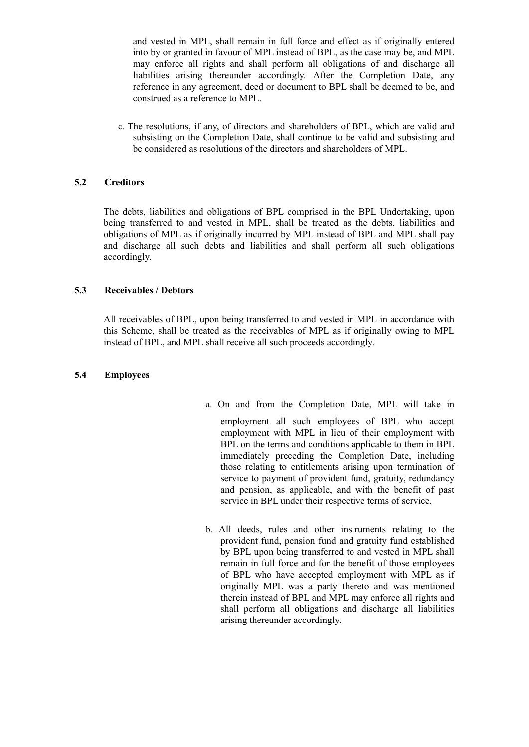and vested in MPL, shall remain in full force and effect as if originally entered into by or granted in favour of MPL instead of BPL, as the case may be, and MPL may enforce all rights and shall perform all obligations of and discharge all liabilities arising thereunder accordingly. After the Completion Date, any reference in any agreement, deed or document to BPL shall be deemed to be, and construed as a reference to MPL.

c. The resolutions, if any, of directors and shareholders of BPL, which are valid and subsisting on the Completion Date, shall continue to be valid and subsisting and be considered as resolutions of the directors and shareholders of MPL.

# **5.2 Creditors**

The debts, liabilities and obligations of BPL comprised in the BPL Undertaking, upon being transferred to and vested in MPL, shall be treated as the debts, liabilities and obligations of MPL as if originally incurred by MPL instead of BPL and MPL shall pay and discharge all such debts and liabilities and shall perform all such obligations accordingly.

# **5.3 Receivables / Debtors**

All receivables of BPL, upon being transferred to and vested in MPL in accordance with this Scheme, shall be treated as the receivables of MPL as if originally owing to MPL instead of BPL, and MPL shall receive all such proceeds accordingly.

# **5.4 Employees**

- a. On and from the Completion Date, MPL will take in employment all such employees of BPL who accept employment with MPL in lieu of their employment with BPL on the terms and conditions applicable to them in BPL immediately preceding the Completion Date, including those relating to entitlements arising upon termination of service to payment of provident fund, gratuity, redundancy and pension, as applicable, and with the benefit of past service in BPL under their respective terms of service.
- b. All deeds, rules and other instruments relating to the provident fund, pension fund and gratuity fund established by BPL upon being transferred to and vested in MPL shall remain in full force and for the benefit of those employees of BPL who have accepted employment with MPL as if originally MPL was a party thereto and was mentioned therein instead of BPL and MPL may enforce all rights and shall perform all obligations and discharge all liabilities arising thereunder accordingly.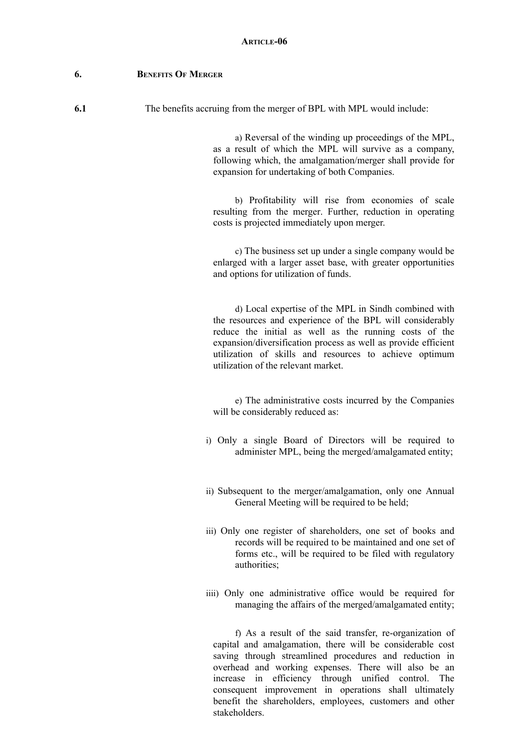### **6. BENEFITS OF MERGER**

**6.1** The benefits accruing from the merger of BPL with MPL would include:

a) Reversal of the winding up proceedings of the MPL, as a result of which the MPL will survive as a company, following which, the amalgamation/merger shall provide for expansion for undertaking of both Companies.

b) Profitability will rise from economies of scale resulting from the merger. Further, reduction in operating costs is projected immediately upon merger.

c) The business set up under a single company would be enlarged with a larger asset base, with greater opportunities and options for utilization of funds.

d) Local expertise of the MPL in Sindh combined with the resources and experience of the BPL will considerably reduce the initial as well as the running costs of the expansion/diversification process as well as provide efficient utilization of skills and resources to achieve optimum utilization of the relevant market.

e) The administrative costs incurred by the Companies will be considerably reduced as:

- i) Only a single Board of Directors will be required to administer MPL, being the merged/amalgamated entity;
- ii) Subsequent to the merger/amalgamation, only one Annual General Meeting will be required to be held;
- iii) Only one register of shareholders, one set of books and records will be required to be maintained and one set of forms etc., will be required to be filed with regulatory authorities;
- iiii) Only one administrative office would be required for managing the affairs of the merged/amalgamated entity;

f) As a result of the said transfer, re-organization of capital and amalgamation, there will be considerable cost saving through streamlined procedures and reduction in overhead and working expenses. There will also be an increase in efficiency through unified control. The consequent improvement in operations shall ultimately benefit the shareholders, employees, customers and other stakeholders.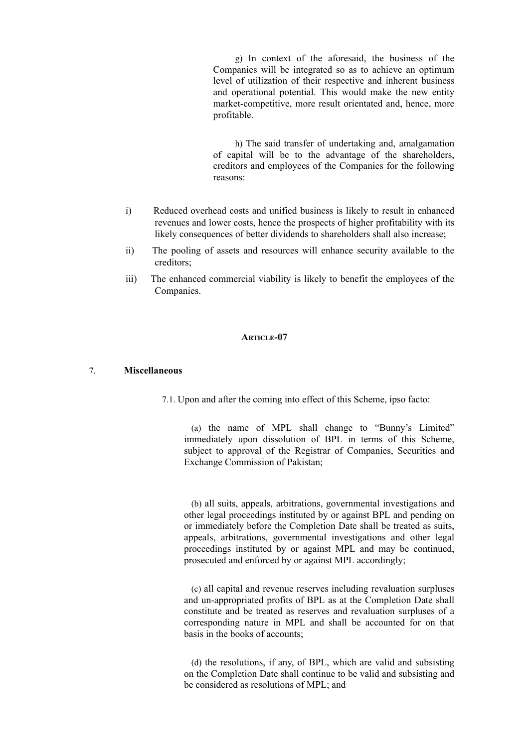g) In context of the aforesaid, the business of the Companies will be integrated so as to achieve an optimum level of utilization of their respective and inherent business and operational potential. This would make the new entity market-competitive, more result orientated and, hence, more profitable.

h) The said transfer of undertaking and, amalgamation of capital will be to the advantage of the shareholders, creditors and employees of the Companies for the following reasons:

- i) Reduced overhead costs and unified business is likely to result in enhanced revenues and lower costs, hence the prospects of higher profitability with its likely consequences of better dividends to shareholders shall also increase;
- ii) The pooling of assets and resources will enhance security available to the creditors;
- iii) The enhanced commercial viability is likely to benefit the employees of the Companies.

# **ARTICLE-07**

### 7. **Miscellaneous**

7.1. Upon and after the coming into effect of this Scheme, ipso facto:

(a) the name of MPL shall change to "Bunny's Limited" immediately upon dissolution of BPL in terms of this Scheme, subject to approval of the Registrar of Companies, Securities and Exchange Commission of Pakistan;

(b) all suits, appeals, arbitrations, governmental investigations and other legal proceedings instituted by or against BPL and pending on or immediately before the Completion Date shall be treated as suits, appeals, arbitrations, governmental investigations and other legal proceedings instituted by or against MPL and may be continued, prosecuted and enforced by or against MPL accordingly;

(c) all capital and revenue reserves including revaluation surpluses and un-appropriated profits of BPL as at the Completion Date shall constitute and be treated as reserves and revaluation surpluses of a corresponding nature in MPL and shall be accounted for on that basis in the books of accounts;

(d) the resolutions, if any, of BPL, which are valid and subsisting on the Completion Date shall continue to be valid and subsisting and be considered as resolutions of MPL; and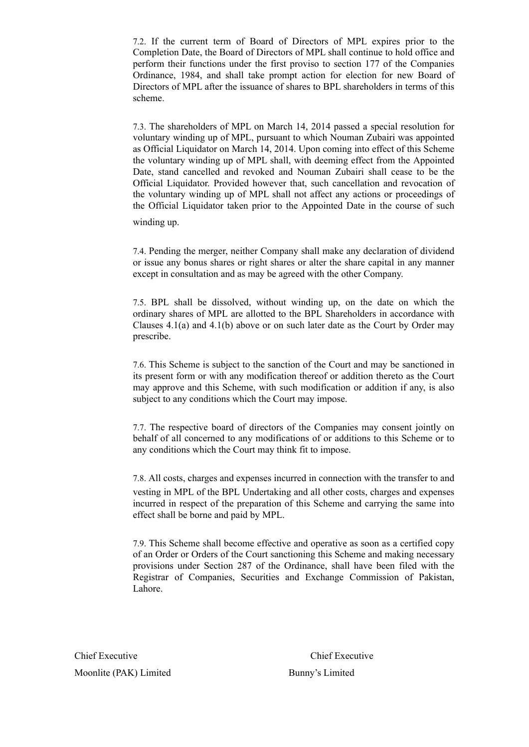7.2. If the current term of Board of Directors of MPL expires prior to the Completion Date, the Board of Directors of MPL shall continue to hold office and perform their functions under the first proviso to section 177 of the Companies Ordinance, 1984, and shall take prompt action for election for new Board of Directors of MPL after the issuance of shares to BPL shareholders in terms of this scheme.

7.3. The shareholders of MPL on March 14, 2014 passed a special resolution for voluntary winding up of MPL, pursuant to which Nouman Zubairi was appointed as Official Liquidator on March 14, 2014. Upon coming into effect of this Scheme the voluntary winding up of MPL shall, with deeming effect from the Appointed Date, stand cancelled and revoked and Nouman Zubairi shall cease to be the Official Liquidator. Provided however that, such cancellation and revocation of the voluntary winding up of MPL shall not affect any actions or proceedings of the Official Liquidator taken prior to the Appointed Date in the course of such

winding up.

7.4. Pending the merger, neither Company shall make any declaration of dividend or issue any bonus shares or right shares or alter the share capital in any manner except in consultation and as may be agreed with the other Company.

7.5. BPL shall be dissolved, without winding up, on the date on which the ordinary shares of MPL are allotted to the BPL Shareholders in accordance with Clauses 4.1(a) and 4.1(b) above or on such later date as the Court by Order may prescribe.

7.6. This Scheme is subject to the sanction of the Court and may be sanctioned in its present form or with any modification thereof or addition thereto as the Court may approve and this Scheme, with such modification or addition if any, is also subject to any conditions which the Court may impose.

7.7. The respective board of directors of the Companies may consent jointly on behalf of all concerned to any modifications of or additions to this Scheme or to any conditions which the Court may think fit to impose.

7.8. All costs, charges and expenses incurred in connection with the transfer to and vesting in MPL of the BPL Undertaking and all other costs, charges and expenses incurred in respect of the preparation of this Scheme and carrying the same into effect shall be borne and paid by MPL.

7.9. This Scheme shall become effective and operative as soon as a certified copy of an Order or Orders of the Court sanctioning this Scheme and making necessary provisions under Section 287 of the Ordinance, shall have been filed with the Registrar of Companies, Securities and Exchange Commission of Pakistan, Lahore.

Chief Executive Chief Executive Moonlite (PAK) Limited Bunny's Limited